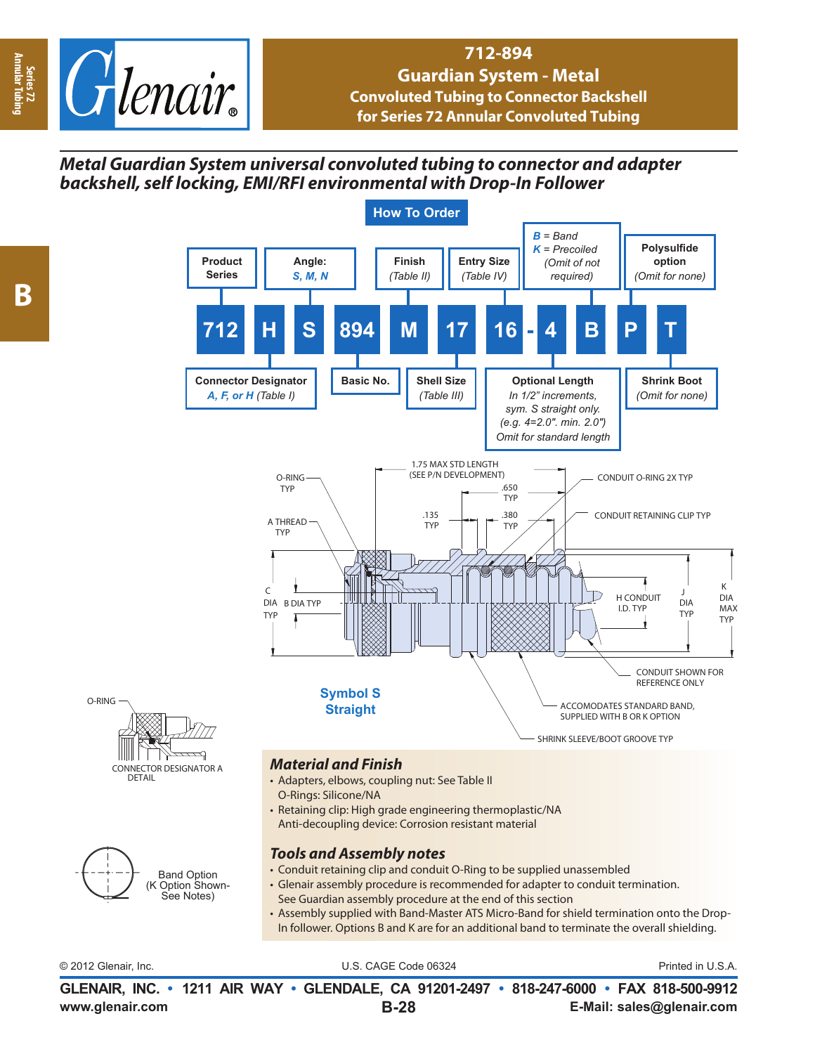

## **712-894 Guardian System - Metal Convoluted Tubing to Connector Backshell for Series 72 Annular Convoluted Tubing**

## *Metal Guardian System universal convoluted tubing to connector and adapter backshell, self locking, EMI/RFI environmental with Drop-In Follower*



**www.glenair.com E-Mail: sales@glenair.com GLENAIR, INC. • 1211 AIR WAY • GLENDALE, CA 91201-2497 • 818-247-6000 • FAX 818-500-9912 B-28**

**Series 72<br>Annular Tubi Annular Tubing**